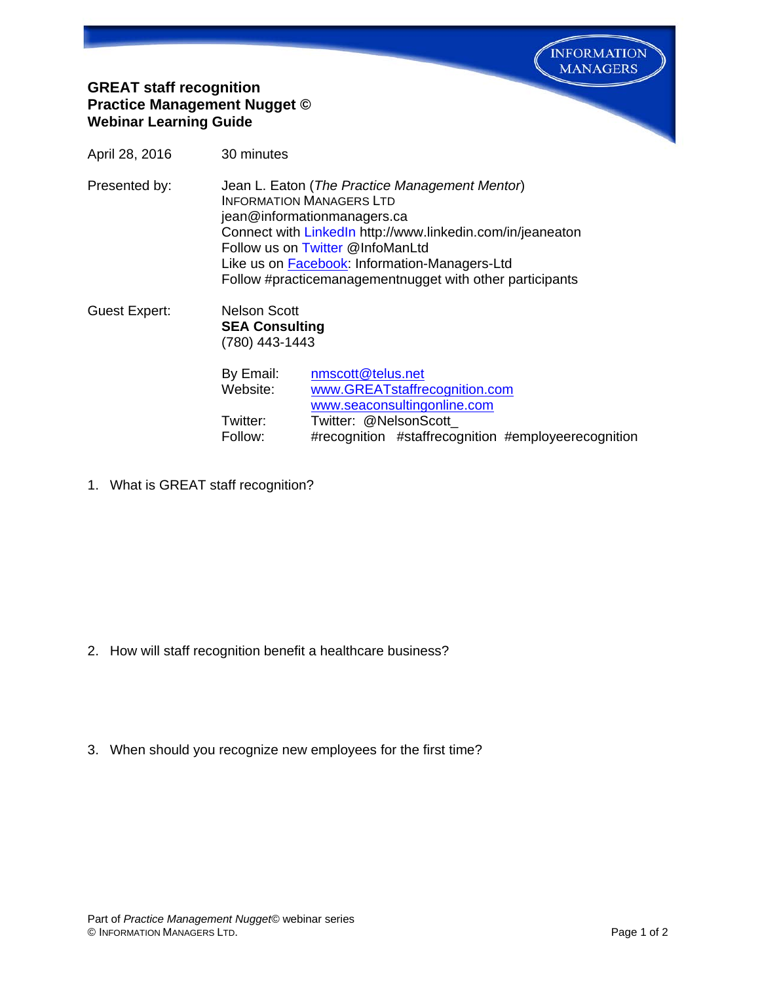**INFORMATION MANAGERS** 

## **GREAT staff recognition Practice Management Nugget © Webinar Learning Guide**

April 28, 2016 30 minutes

Presented by: Jean L. Eaton (*The Practice Management Mentor*) INFORMATION MANAGERS LTD jean@informationmanagers.ca Connect with [LinkedIn](http://www.linkedin.com/in/jeaneaton) http://www.linkedin.com/in/jeaneaton Follow us on [Twitter](https://twitter.com/InfoManLtd) @InfoManLtd Like us on [Facebook:](https://www.facebook.com/pages/Information-Managers-Ltd/291303607725640) Information-Managers-Ltd Follow #practicemanagementnugget with other participants

Guest Expert: Nelson Scott **SEA Consulting**  (780) 443-1443

| nmscott@telus.net                                   |
|-----------------------------------------------------|
| www.GREATstaffrecognition.com                       |
| www.seaconsultingonline.com                         |
| Twitter: @NelsonScott                               |
| #recognition #staffrecognition #employeerecognition |
|                                                     |

1. What is GREAT staff recognition?

- 2. How will staff recognition benefit a healthcare business?
- 3. When should you recognize new employees for the first time?